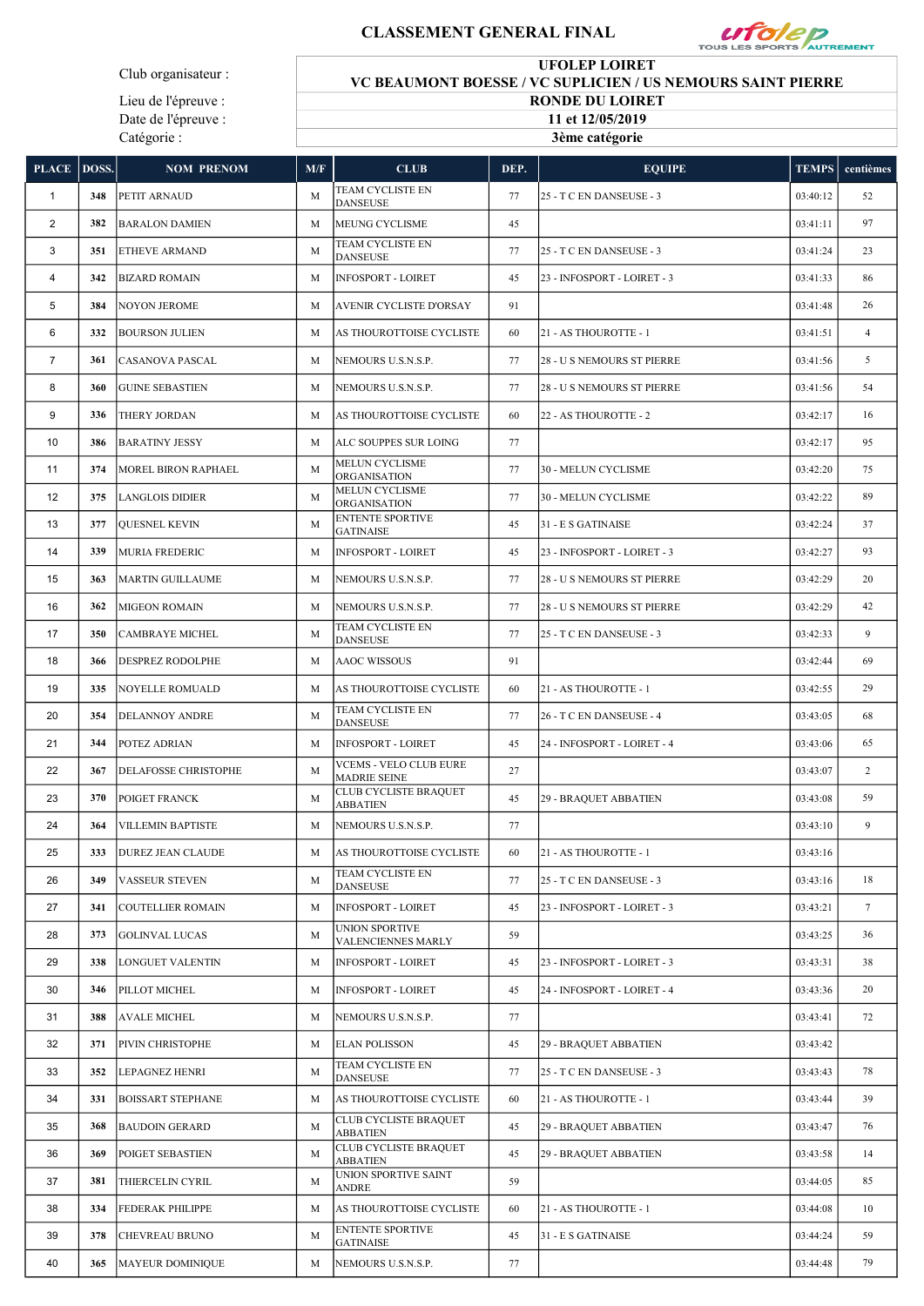## CLASSEMENT GENERAL FINAL



Club organisateur :

Lieu de l'épreuve : Date de l'épreuve : Catégorie :

## UFOLEP LOIRET VC BEAUMONT BOESSE / VC SUPLICIEN / US NEMOURS SAINT PIERRE RONDE DU LOIRET 11 et 12/05/2019

3ème catégorie

| PLACE   DOSS.  |     | <b>NOM PRENOM</b>        | M/F | <b>CLUB</b>                                          | DEP. | <b>EQUIPE</b>               | <b>TEMPS</b> | centièmes      |
|----------------|-----|--------------------------|-----|------------------------------------------------------|------|-----------------------------|--------------|----------------|
| $\mathbf{1}$   | 348 | PETIT ARNAUD             | M   | TEAM CYCLISTE EN<br><b>DANSEUSE</b>                  | 77   | 25 - T C EN DANSEUSE - 3    | 03:40:12     | 52             |
| 2              | 382 | <b>BARALON DAMIEN</b>    | M   | MEUNG CYCLISME                                       | 45   |                             | 03:41:11     | 97             |
| 3              | 351 | ETHEVE ARMAND            | M   | TEAM CYCLISTE EN<br><b>DANSEUSE</b>                  | 77   | 25 - T C EN DANSEUSE - 3    | 03:41:24     | 23             |
| $\overline{4}$ | 342 | <b>BIZARD ROMAIN</b>     | M   | <b>INFOSPORT - LOIRET</b>                            | 45   | 23 - INFOSPORT - LOIRET - 3 | 03:41:33     | 86             |
| 5              | 384 | <b>NOYON JEROME</b>      | M   | AVENIR CYCLISTE D'ORSAY                              | 91   |                             | 03:41:48     | 26             |
| 6              | 332 | <b>BOURSON JULIEN</b>    | M   | AS THOUROTTOISE CYCLISTE                             | 60   | 21 - AS THOUROTTE - 1       | 03:41:51     | $\overline{4}$ |
| $\overline{7}$ | 361 | CASANOVA PASCAL          | M   | NEMOURS U.S.N.S.P.                                   | 77   | 28 - U S NEMOURS ST PIERRE  | 03:41:56     | 5              |
| 8              | 360 | <b>GUINE SEBASTIEN</b>   | M   | NEMOURS U.S.N.S.P.                                   | 77   | 28 - U S NEMOURS ST PIERRE  | 03:41:56     | 54             |
| 9              | 336 | THERY JORDAN             | M   | AS THOUROTTOISE CYCLISTE                             | 60   | 22 - AS THOUROTTE - 2       | 03:42:17     | 16             |
| 10             | 386 | <b>BARATINY JESSY</b>    | M   | ALC SOUPPES SUR LOING                                | 77   |                             | 03:42:17     | 95             |
| 11             | 374 | MOREL BIRON RAPHAEL      | M   | MELUN CYCLISME<br><b>ORGANISATION</b>                | 77   | 30 - MELUN CYCLISME         | 03:42:20     | 75             |
| 12             | 375 | <b>LANGLOIS DIDIER</b>   | M   | <b>MELUN CYCLISME</b><br><b>ORGANISATION</b>         | 77   | 30 - MELUN CYCLISME         | 03:42:22     | 89             |
| 13             | 377 | <b>QUESNEL KEVIN</b>     | M   | <b>ENTENTE SPORTIVE</b><br><b>GATINAISE</b>          | 45   | 31 - E S GATINAISE          | 03:42:24     | 37             |
| 14             | 339 | <b>MURIA FREDERIC</b>    | M   | INFOSPORT - LOIRET                                   | 45   | 23 - INFOSPORT - LOIRET - 3 | 03:42:27     | 93             |
| 15             | 363 | MARTIN GUILLAUME         | M   | NEMOURS U.S.N.S.P.                                   | 77   | 28 - U S NEMOURS ST PIERRE  | 03:42:29     | 20             |
| 16             | 362 | <b>MIGEON ROMAIN</b>     | M   | NEMOURS U.S.N.S.P.                                   | 77   | 28 - U S NEMOURS ST PIERRE  | 03:42:29     | 42             |
| 17             | 350 | CAMBRAYE MICHEL          | M   | TEAM CYCLISTE EN<br><b>DANSEUSE</b>                  | 77   | 25 - T C EN DANSEUSE - 3    | 03:42:33     | 9              |
| 18             | 366 | DESPREZ RODOLPHE         | M   | <b>AAOC WISSOUS</b>                                  | 91   |                             | 03:42:44     | 69             |
| 19             | 335 | NOYELLE ROMUALD          | M   | AS THOUROTTOISE CYCLISTE                             | 60   | 21 - AS THOUROTTE - 1       | 03:42:55     | 29             |
| 20             | 354 | DELANNOY ANDRE           | M   | TEAM CYCLISTE EN<br><b>DANSEUSE</b>                  | 77   | 26 - T C EN DANSEUSE - 4    | 03:43:05     | 68             |
| 21             | 344 | POTEZ ADRIAN             | M   | <b>INFOSPORT - LOIRET</b>                            | 45   | 24 - INFOSPORT - LOIRET - 4 | 03:43:06     | 65             |
| 22             | 367 | DELAFOSSE CHRISTOPHE     | M   | <b>VCEMS - VELO CLUB EURE</b><br><b>MADRIE SEINE</b> | 27   |                             | 03:43:07     | $\overline{c}$ |
| 23             | 370 | POIGET FRANCK            | M   | CLUB CYCLISTE BRAQUET<br><b>ABBATIEN</b>             | 45   | 29 - BRAQUET ABBATIEN       | 03:43:08     | 59             |
| 24             | 364 | <b>VILLEMIN BAPTISTE</b> | M   | NEMOURS U.S.N.S.P.                                   | 77   |                             | 03:43:10     | 9              |
| 25             | 333 | <b>DUREZ JEAN CLAUDE</b> | M   | AS THOUROTTOISE CYCLISTE                             | 60   | 21 - AS THOUROTTE - 1       | 03:43:16     |                |
| 26             | 349 | VASSEUR STEVEN           | M   | TEAM CYCLISTE EN<br><b>DANSEUSE</b>                  | 77   | 25 - T C EN DANSEUSE - 3    | 03:43:16     | 18             |
| 27             | 341 | COUTELLIER ROMAIN        | M   | <b>INFOSPORT - LOIRET</b>                            | 45   | 23 - INFOSPORT - LOIRET - 3 | 03:43:21     | $\tau$         |
| 28             | 373 | <b>GOLINVAL LUCAS</b>    | M   | UNION SPORTIVE<br>VALENCIENNES MARLY                 | 59   |                             | 03:43:25     | 36             |
| 29             | 338 | LONGUET VALENTIN         | M   | <b>INFOSPORT - LOIRET</b>                            | 45   | 23 - INFOSPORT - LOIRET - 3 | 03:43:31     | 38             |
| 30             | 346 | PILLOT MICHEL            | M   | <b>INFOSPORT - LOIRET</b>                            | 45   | 24 - INFOSPORT - LOIRET - 4 | 03:43:36     | 20             |
| 31             | 388 | AVALE MICHEL             | M   | NEMOURS U.S.N.S.P.                                   | 77   |                             | 03:43:41     | 72             |
| 32             | 371 | PIVIN CHRISTOPHE         | M   | <b>ELAN POLISSON</b>                                 | 45   | 29 - BRAQUET ABBATIEN       | 03:43:42     |                |
| 33             | 352 | LEPAGNEZ HENRI           | M   | TEAM CYCLISTE EN<br><b>DANSEUSE</b>                  | 77   | 25 - T C EN DANSEUSE - 3    | 03:43:43     | 78             |
| 34             | 331 | BOISSART STEPHANE        | M   | AS THOUROTTOISE CYCLISTE                             | 60   | 21 - AS THOUROTTE - 1       | 03:43:44     | 39             |
| 35             | 368 | <b>BAUDOIN GERARD</b>    | M   | CLUB CYCLISTE BRAQUET<br>ABBATIEN                    | 45   | 29 - BRAQUET ABBATIEN       | 03:43:47     | 76             |
| 36             | 369 | POIGET SEBASTIEN         | M   | CLUB CYCLISTE BRAQUET<br>ABBATIEN                    | 45   | 29 - BRAQUET ABBATIEN       | 03:43:58     | 14             |
| 37             | 381 | THIERCELIN CYRIL         | M   | UNION SPORTIVE SAINT<br>ANDRE                        | 59   |                             | 03:44:05     | 85             |
| 38             | 334 | FEDERAK PHILIPPE         | M   | AS THOUROTTOISE CYCLISTE                             | 60   | 21 - AS THOUROTTE - 1       | 03:44:08     | 10             |
| 39             | 378 | CHEVREAU BRUNO           | M   | <b>ENTENTE SPORTIVE</b><br><b>GATINAISE</b>          | 45   | 31 - E S GATINAISE          | 03:44:24     | 59             |
| 40             | 365 | MAYEUR DOMINIQUE         | M   | NEMOURS U.S.N.S.P.                                   | 77   |                             | 03:44:48     | 79             |